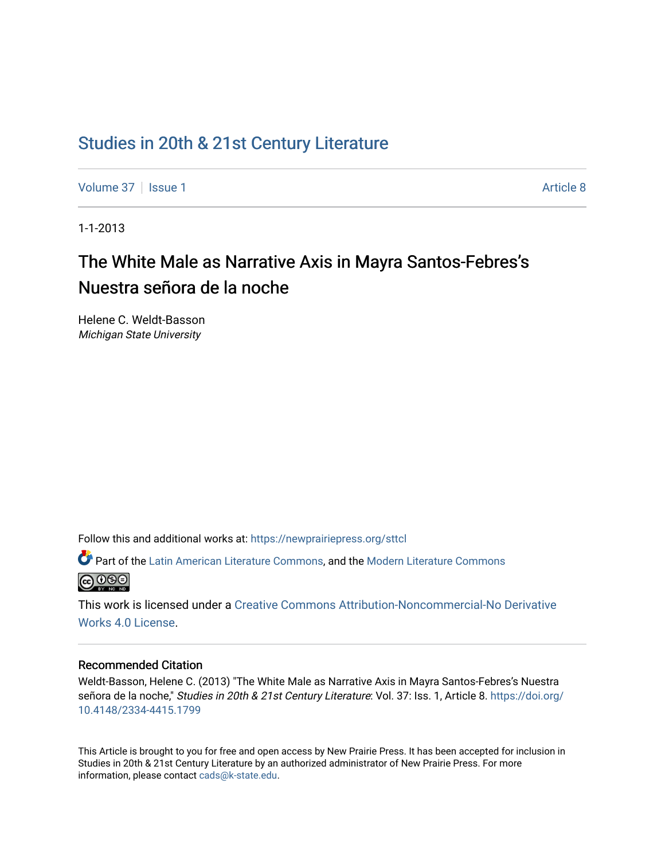# [Studies in 20th & 21st Century Literature](https://newprairiepress.org/sttcl)

[Volume 37](https://newprairiepress.org/sttcl/vol37) | [Issue 1](https://newprairiepress.org/sttcl/vol37/iss1) Article 8

1-1-2013

# The White Male as Narrative Axis in Mayra Santos-Febres's Nuestra señora de la noche

Helene C. Weldt-Basson Michigan State University

Follow this and additional works at: [https://newprairiepress.org/sttcl](https://newprairiepress.org/sttcl?utm_source=newprairiepress.org%2Fsttcl%2Fvol37%2Fiss1%2F8&utm_medium=PDF&utm_campaign=PDFCoverPages) 

Part of the [Latin American Literature Commons,](http://network.bepress.com/hgg/discipline/547?utm_source=newprairiepress.org%2Fsttcl%2Fvol37%2Fiss1%2F8&utm_medium=PDF&utm_campaign=PDFCoverPages) and the [Modern Literature Commons](http://network.bepress.com/hgg/discipline/1050?utm_source=newprairiepress.org%2Fsttcl%2Fvol37%2Fiss1%2F8&utm_medium=PDF&utm_campaign=PDFCoverPages)  **@000** 

This work is licensed under a [Creative Commons Attribution-Noncommercial-No Derivative](https://creativecommons.org/licenses/by-nc-nd/4.0/)  [Works 4.0 License](https://creativecommons.org/licenses/by-nc-nd/4.0/).

## Recommended Citation

Weldt-Basson, Helene C. (2013) "The White Male as Narrative Axis in Mayra Santos-Febres's Nuestra señora de la noche," Studies in 20th & 21st Century Literature: Vol. 37: Iss. 1, Article 8. [https://doi.org/](https://doi.org/10.4148/2334-4415.1799) [10.4148/2334-4415.1799](https://doi.org/10.4148/2334-4415.1799)

This Article is brought to you for free and open access by New Prairie Press. It has been accepted for inclusion in Studies in 20th & 21st Century Literature by an authorized administrator of New Prairie Press. For more information, please contact [cads@k-state.edu](mailto:cads@k-state.edu).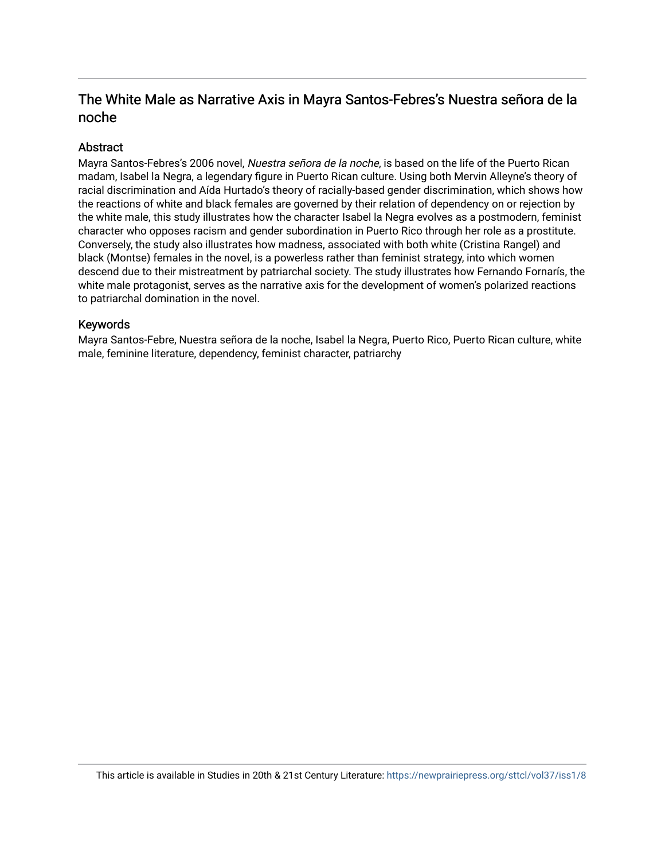## The White Male as Narrative Axis in Mayra Santos-Febres's Nuestra señora de la noche

## **Abstract**

Mayra Santos-Febres's 2006 novel, Nuestra señora de la noche, is based on the life of the Puerto Rican madam, Isabel la Negra, a legendary figure in Puerto Rican culture. Using both Mervin Alleyne's theory of racial discrimination and Aída Hurtado's theory of racially-based gender discrimination, which shows how the reactions of white and black females are governed by their relation of dependency on or rejection by the white male, this study illustrates how the character Isabel la Negra evolves as a postmodern, feminist character who opposes racism and gender subordination in Puerto Rico through her role as a prostitute. Conversely, the study also illustrates how madness, associated with both white (Cristina Rangel) and black (Montse) females in the novel, is a powerless rather than feminist strategy, into which women descend due to their mistreatment by patriarchal society. The study illustrates how Fernando Fornarís, the white male protagonist, serves as the narrative axis for the development of women's polarized reactions to patriarchal domination in the novel.

## Keywords

Mayra Santos-Febre, Nuestra señora de la noche, Isabel la Negra, Puerto Rico, Puerto Rican culture, white male, feminine literature, dependency, feminist character, patriarchy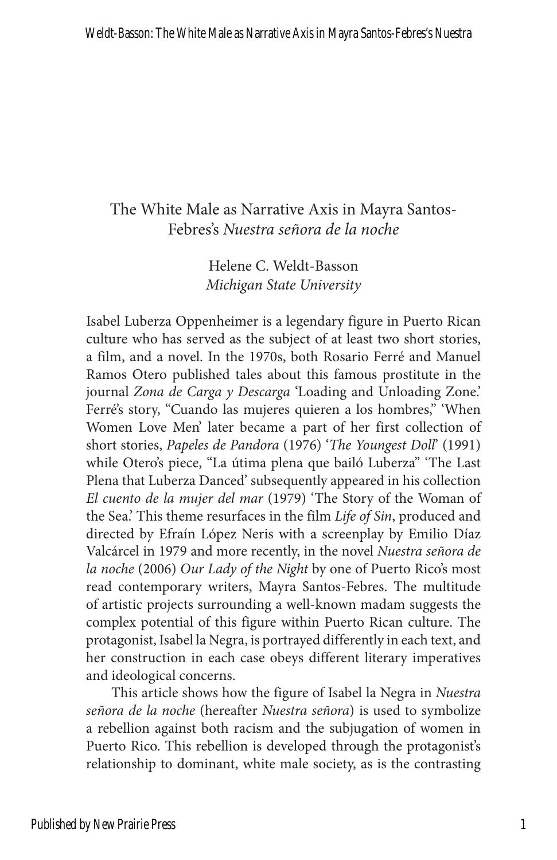## The White Male as Narrative Axis in Mayra Santos-Febres's *Nuestra señora de la noche*

Helene C. Weldt-Basson *Michigan State University*

Isabel Luberza Oppenheimer is a legendary figure in Puerto Rican culture who has served as the subject of at least two short stories, a film, and a novel. In the 1970s, both Rosario Ferré and Manuel Ramos Otero published tales about this famous prostitute in the journal *Zona de Carga y Descarga* 'Loading and Unloading Zone.' Ferré's story, "Cuando las mujeres quieren a los hombres," 'When Women Love Men' later became a part of her first collection of short stories, *Papeles de Pandora* (1976) '*The Youngest Doll*' (1991) while Otero's piece, "La útima plena que bailó Luberza" 'The Last Plena that Luberza Danced' subsequently appeared in his collection *El cuento de la mujer del mar* (1979) 'The Story of the Woman of the Sea.' This theme resurfaces in the film *Life of Sin*, produced and directed by Efraín López Neris with a screenplay by Emilio Díaz Valcárcel in 1979 and more recently, in the novel *Nuestra señora de la noche* (2006) *Our Lady of the Night* by one of Puerto Rico's most read contemporary writers, Mayra Santos-Febres. The multitude of artistic projects surrounding a well-known madam suggests the complex potential of this figure within Puerto Rican culture. The protagonist, Isabel la Negra, is portrayed differently in each text, and her construction in each case obeys different literary imperatives and ideological concerns.

This article shows how the figure of Isabel la Negra in *Nuestra señora de la noche* (hereafter *Nuestra señora*) is used to symbolize a rebellion against both racism and the subjugation of women in Puerto Rico. This rebellion is developed through the protagonist's relationship to dominant, white male society, as is the contrasting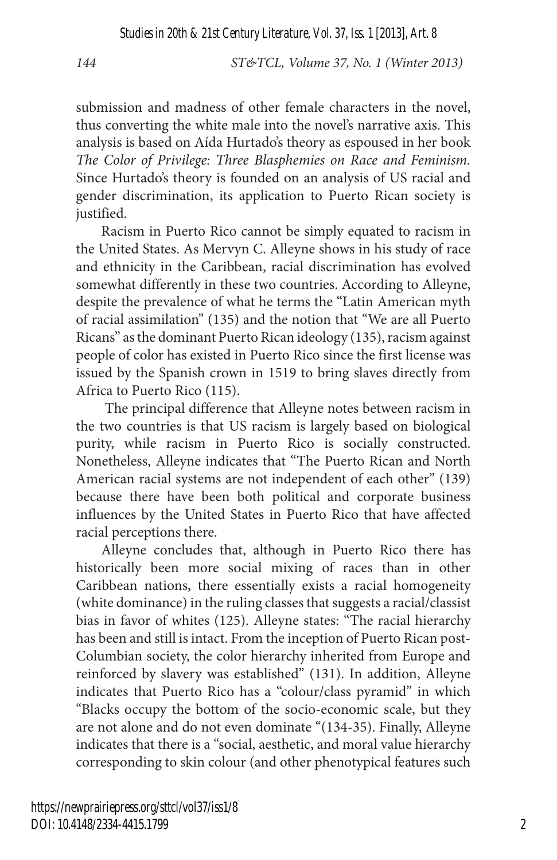submission and madness of other female characters in the novel, thus converting the white male into the novel's narrative axis. This analysis is based on Aída Hurtado's theory as espoused in her book *The Color of Privilege: Three Blasphemies on Race and Feminism.*  Since Hurtado's theory is founded on an analysis of US racial and gender discrimination, its application to Puerto Rican society is justified.

Racism in Puerto Rico cannot be simply equated to racism in the United States. As Mervyn C. Alleyne shows in his study of race and ethnicity in the Caribbean, racial discrimination has evolved somewhat differently in these two countries. According to Alleyne, despite the prevalence of what he terms the "Latin American myth of racial assimilation" (135) and the notion that "We are all Puerto Ricans" as the dominant Puerto Rican ideology (135), racism against people of color has existed in Puerto Rico since the first license was issued by the Spanish crown in 1519 to bring slaves directly from Africa to Puerto Rico (115).

 The principal difference that Alleyne notes between racism in the two countries is that US racism is largely based on biological purity, while racism in Puerto Rico is socially constructed. Nonetheless, Alleyne indicates that "The Puerto Rican and North American racial systems are not independent of each other" (139) because there have been both political and corporate business influences by the United States in Puerto Rico that have affected racial perceptions there.

Alleyne concludes that, although in Puerto Rico there has historically been more social mixing of races than in other Caribbean nations, there essentially exists a racial homogeneity (white dominance) in the ruling classes that suggests a racial/classist bias in favor of whites (125). Alleyne states: "The racial hierarchy has been and still is intact. From the inception of Puerto Rican post-Columbian society, the color hierarchy inherited from Europe and reinforced by slavery was established" (131). In addition, Alleyne indicates that Puerto Rico has a "colour/class pyramid" in which "Blacks occupy the bottom of the socio-economic scale, but they are not alone and do not even dominate "(134-35). Finally, Alleyne indicates that there is a "social, aesthetic, and moral value hierarchy corresponding to skin colour (and other phenotypical features such

https://newprairiepress.org/sttcl/vol37/iss1/8 DOI: 10.4148/2334-4415.1799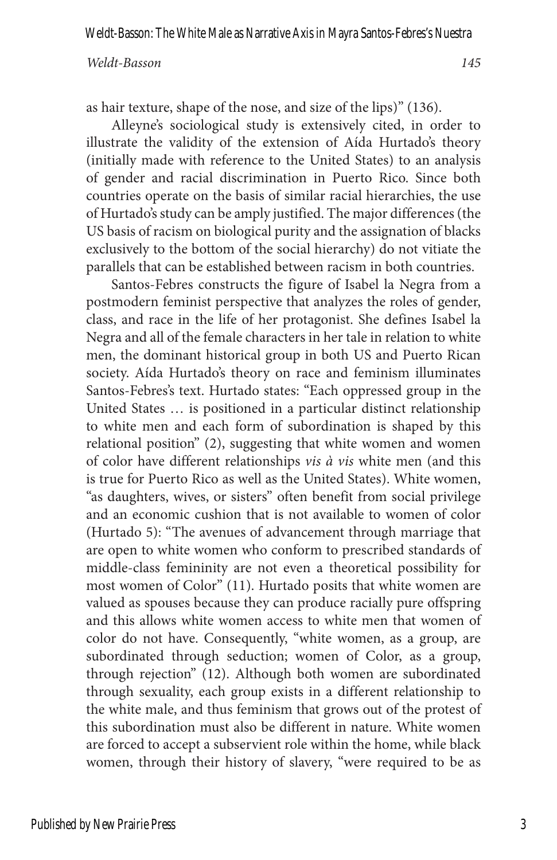as hair texture, shape of the nose, and size of the lips)" (136).

Alleyne's sociological study is extensively cited, in order to illustrate the validity of the extension of Aída Hurtado's theory (initially made with reference to the United States) to an analysis of gender and racial discrimination in Puerto Rico. Since both countries operate on the basis of similar racial hierarchies, the use of Hurtado's study can be amply justified. The major differences (the US basis of racism on biological purity and the assignation of blacks exclusively to the bottom of the social hierarchy) do not vitiate the parallels that can be established between racism in both countries.

Santos-Febres constructs the figure of Isabel la Negra from a postmodern feminist perspective that analyzes the roles of gender, class, and race in the life of her protagonist. She defines Isabel la Negra and all of the female characters in her tale in relation to white men, the dominant historical group in both US and Puerto Rican society. Aída Hurtado's theory on race and feminism illuminates Santos-Febres's text. Hurtado states: "Each oppressed group in the United States … is positioned in a particular distinct relationship to white men and each form of subordination is shaped by this relational position" (2), suggesting that white women and women of color have different relationships *vis à vis* white men (and this is true for Puerto Rico as well as the United States). White women, "as daughters, wives, or sisters" often benefit from social privilege and an economic cushion that is not available to women of color (Hurtado 5): "The avenues of advancement through marriage that are open to white women who conform to prescribed standards of middle-class femininity are not even a theoretical possibility for most women of Color" (11). Hurtado posits that white women are valued as spouses because they can produce racially pure offspring and this allows white women access to white men that women of color do not have. Consequently, "white women, as a group, are subordinated through seduction; women of Color, as a group, through rejection" (12). Although both women are subordinated through sexuality, each group exists in a different relationship to the white male, and thus feminism that grows out of the protest of this subordination must also be different in nature. White women are forced to accept a subservient role within the home, while black women, through their history of slavery, "were required to be as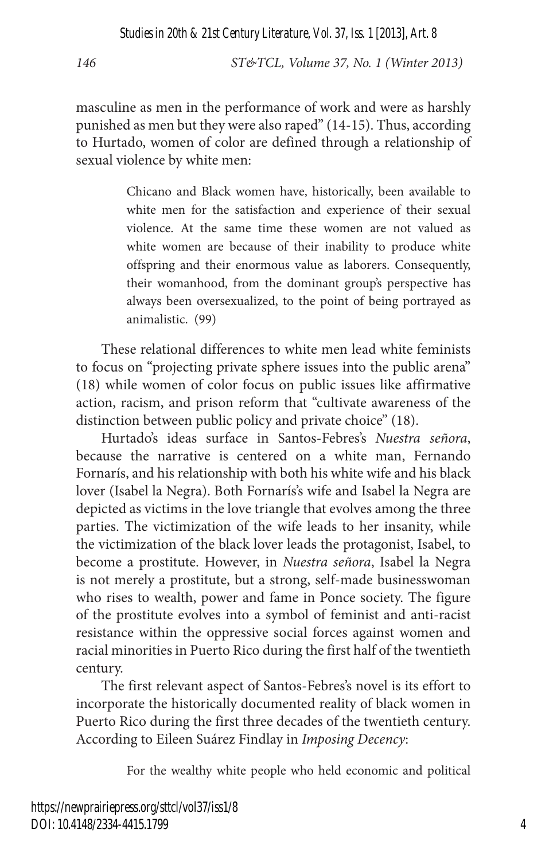*Studies in 20th & 21st Century Literature, Vol. 37, Iss. 1 [2013], Art. 8*

*146 ST&TCL, Volume 37, No. 1 (Winter 2013)*

masculine as men in the performance of work and were as harshly punished as men but they were also raped" (14-15). Thus, according to Hurtado, women of color are defined through a relationship of sexual violence by white men:

> Chicano and Black women have, historically, been available to white men for the satisfaction and experience of their sexual violence. At the same time these women are not valued as white women are because of their inability to produce white offspring and their enormous value as laborers. Consequently, their womanhood, from the dominant group's perspective has always been oversexualized, to the point of being portrayed as animalistic. (99)

These relational differences to white men lead white feminists to focus on "projecting private sphere issues into the public arena" (18) while women of color focus on public issues like affirmative action, racism, and prison reform that "cultivate awareness of the distinction between public policy and private choice" (18).

Hurtado's ideas surface in Santos-Febres's *Nuestra señora*, because the narrative is centered on a white man, Fernando Fornarís, and his relationship with both his white wife and his black lover (Isabel la Negra). Both Fornarís's wife and Isabel la Negra are depicted as victims in the love triangle that evolves among the three parties. The victimization of the wife leads to her insanity, while the victimization of the black lover leads the protagonist, Isabel, to become a prostitute. However, in *Nuestra señora*, Isabel la Negra is not merely a prostitute, but a strong, self-made businesswoman who rises to wealth, power and fame in Ponce society. The figure of the prostitute evolves into a symbol of feminist and anti-racist resistance within the oppressive social forces against women and racial minorities in Puerto Rico during the first half of the twentieth century.

The first relevant aspect of Santos-Febres's novel is its effort to incorporate the historically documented reality of black women in Puerto Rico during the first three decades of the twentieth century. According to Eileen Suárez Findlay in *Imposing Decency*:

For the wealthy white people who held economic and political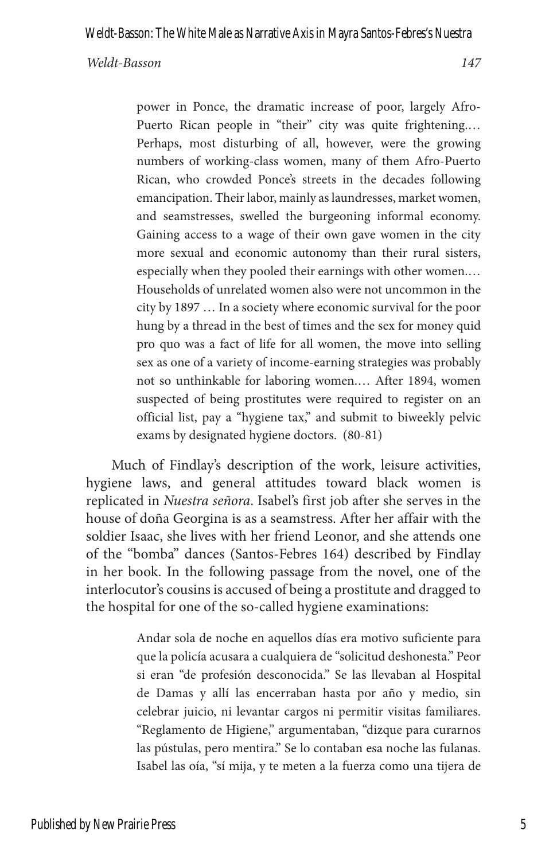power in Ponce, the dramatic increase of poor, largely Afro-Puerto Rican people in "their" city was quite frightening.… Perhaps, most disturbing of all, however, were the growing numbers of working-class women, many of them Afro-Puerto Rican, who crowded Ponce's streets in the decades following emancipation. Their labor, mainly as laundresses, market women, and seamstresses, swelled the burgeoning informal economy. Gaining access to a wage of their own gave women in the city more sexual and economic autonomy than their rural sisters, especially when they pooled their earnings with other women.… Households of unrelated women also were not uncommon in the city by 1897 … In a society where economic survival for the poor hung by a thread in the best of times and the sex for money quid pro quo was a fact of life for all women, the move into selling sex as one of a variety of income-earning strategies was probably not so unthinkable for laboring women.… After 1894, women suspected of being prostitutes were required to register on an official list, pay a "hygiene tax," and submit to biweekly pelvic exams by designated hygiene doctors. (80-81)

Much of Findlay's description of the work, leisure activities, hygiene laws, and general attitudes toward black women is replicated in *Nuestra señora*. Isabel's first job after she serves in the house of doña Georgina is as a seamstress. After her affair with the soldier Isaac, she lives with her friend Leonor, and she attends one of the "bomba" dances (Santos-Febres 164) described by Findlay in her book. In the following passage from the novel, one of the interlocutor's cousins is accused of being a prostitute and dragged to the hospital for one of the so-called hygiene examinations:

> Andar sola de noche en aquellos días era motivo suficiente para que la policía acusara a cualquiera de "solicitud deshonesta." Peor si eran "de profesión desconocida." Se las llevaban al Hospital de Damas y allí las encerraban hasta por año y medio, sin celebrar juicio, ni levantar cargos ni permitir visitas familiares. "Reglamento de Higiene," argumentaban, "dizque para curarnos las pústulas, pero mentira." Se lo contaban esa noche las fulanas. Isabel las oía, "sí mija, y te meten a la fuerza como una tijera de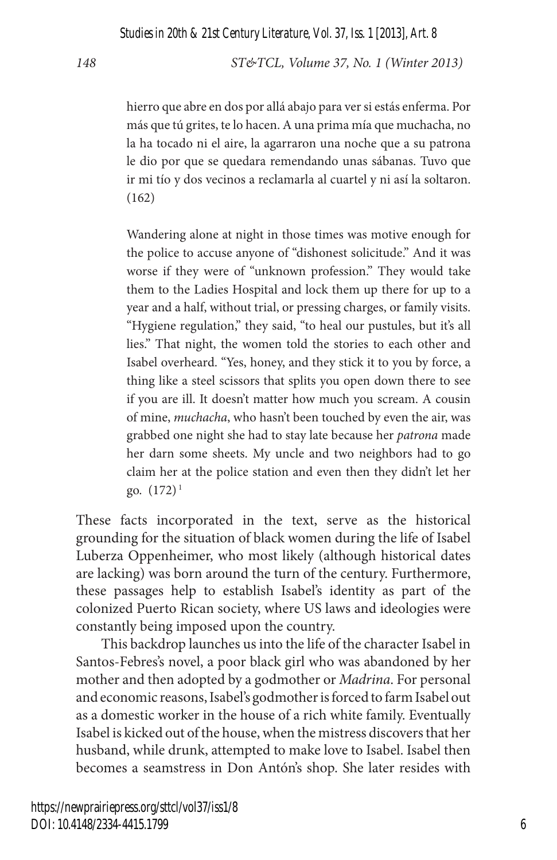hierro que abre en dos por allá abajo para ver si estás enferma. Por más que tú grites, te lo hacen. A una prima mía que muchacha, no la ha tocado ni el aire, la agarraron una noche que a su patrona le dio por que se quedara remendando unas sábanas. Tuvo que ir mi tío y dos vecinos a reclamarla al cuartel y ni así la soltaron. (162)

Wandering alone at night in those times was motive enough for the police to accuse anyone of "dishonest solicitude." And it was worse if they were of "unknown profession." They would take them to the Ladies Hospital and lock them up there for up to a year and a half, without trial, or pressing charges, or family visits. "Hygiene regulation," they said, "to heal our pustules, but it's all lies." That night, the women told the stories to each other and Isabel overheard. "Yes, honey, and they stick it to you by force, a thing like a steel scissors that splits you open down there to see if you are ill. It doesn't matter how much you scream. A cousin of mine, *muchacha*, who hasn't been touched by even the air, was grabbed one night she had to stay late because her *patrona* made her darn some sheets. My uncle and two neighbors had to go claim her at the police station and even then they didn't let her go. (172) 1

These facts incorporated in the text, serve as the historical grounding for the situation of black women during the life of Isabel Luberza Oppenheimer, who most likely (although historical dates are lacking) was born around the turn of the century. Furthermore, these passages help to establish Isabel's identity as part of the colonized Puerto Rican society, where US laws and ideologies were constantly being imposed upon the country.

This backdrop launches us into the life of the character Isabel in Santos-Febres's novel, a poor black girl who was abandoned by her mother and then adopted by a godmother or *Madrina*. For personal and economic reasons, Isabel's godmother is forced to farm Isabel out as a domestic worker in the house of a rich white family. Eventually Isabel is kicked out of the house, when the mistress discovers that her husband, while drunk, attempted to make love to Isabel. Isabel then becomes a seamstress in Don Antón's shop. She later resides with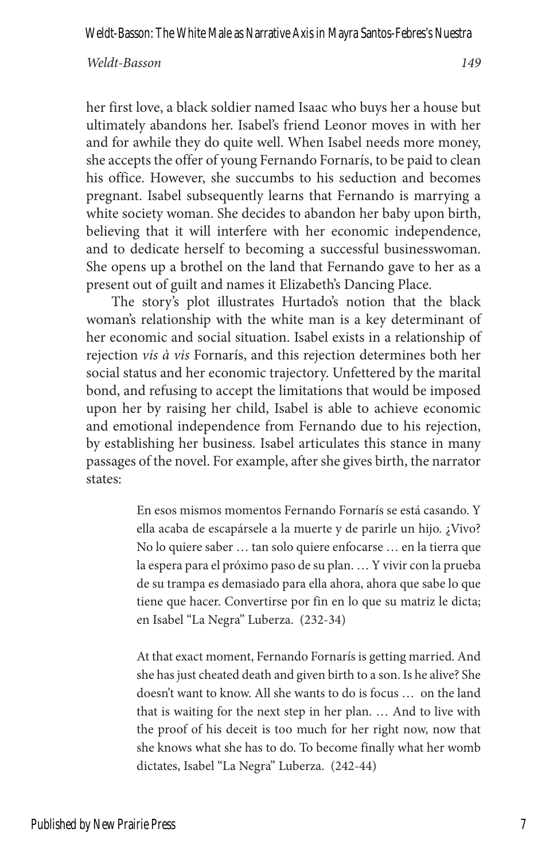Weldt-Basson: The White Male as Narrative Axis in Mayra Santos-Febres's Nuestra

*Weldt-Basson 149*

her first love, a black soldier named Isaac who buys her a house but ultimately abandons her. Isabel's friend Leonor moves in with her and for awhile they do quite well. When Isabel needs more money, she accepts the offer of young Fernando Fornarís, to be paid to clean his office. However, she succumbs to his seduction and becomes pregnant. Isabel subsequently learns that Fernando is marrying a white society woman. She decides to abandon her baby upon birth, believing that it will interfere with her economic independence, and to dedicate herself to becoming a successful businesswoman. She opens up a brothel on the land that Fernando gave to her as a present out of guilt and names it Elizabeth's Dancing Place.

The story's plot illustrates Hurtado's notion that the black woman's relationship with the white man is a key determinant of her economic and social situation. Isabel exists in a relationship of rejection *vis à vis* Fornarís, and this rejection determines both her social status and her economic trajectory. Unfettered by the marital bond, and refusing to accept the limitations that would be imposed upon her by raising her child, Isabel is able to achieve economic and emotional independence from Fernando due to his rejection, by establishing her business. Isabel articulates this stance in many passages of the novel. For example, after she gives birth, the narrator states:

> En esos mismos momentos Fernando Fornarís se está casando. Y ella acaba de escapársele a la muerte y de parirle un hijo. ¿Vivo? No lo quiere saber … tan solo quiere enfocarse … en la tierra que la espera para el próximo paso de su plan. … Y vivir con la prueba de su trampa es demasiado para ella ahora, ahora que sabe lo que tiene que hacer. Convertirse por fin en lo que su matriz le dicta; en Isabel "La Negra" Luberza. (232-34)

> At that exact moment, Fernando Fornarís is getting married. And she has just cheated death and given birth to a son. Is he alive? She doesn't want to know. All she wants to do is focus … on the land that is waiting for the next step in her plan. … And to live with the proof of his deceit is too much for her right now, now that she knows what she has to do. To become finally what her womb dictates, Isabel "La Negra" Luberza. (242-44)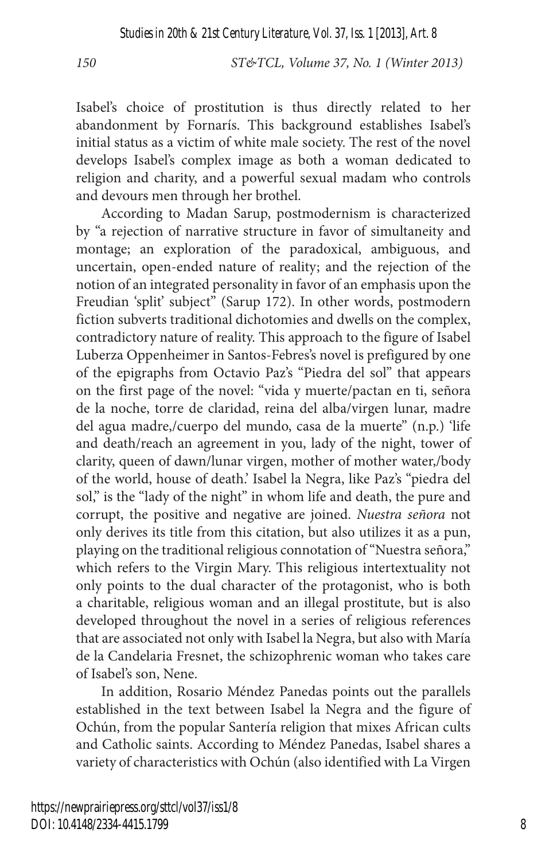Isabel's choice of prostitution is thus directly related to her abandonment by Fornarís. This background establishes Isabel's initial status as a victim of white male society. The rest of the novel develops Isabel's complex image as both a woman dedicated to religion and charity, and a powerful sexual madam who controls and devours men through her brothel.

According to Madan Sarup, postmodernism is characterized by "a rejection of narrative structure in favor of simultaneity and montage; an exploration of the paradoxical, ambiguous, and uncertain, open-ended nature of reality; and the rejection of the notion of an integrated personality in favor of an emphasis upon the Freudian 'split' subject" (Sarup 172). In other words, postmodern fiction subverts traditional dichotomies and dwells on the complex, contradictory nature of reality. This approach to the figure of Isabel Luberza Oppenheimer in Santos-Febres's novel is prefigured by one of the epigraphs from Octavio Paz's "Piedra del sol" that appears on the first page of the novel: "vida y muerte/pactan en ti, señora de la noche, torre de claridad, reina del alba/virgen lunar, madre del agua madre,/cuerpo del mundo, casa de la muerte" (n.p.) 'life and death/reach an agreement in you, lady of the night, tower of clarity, queen of dawn/lunar virgen, mother of mother water,/body of the world, house of death.' Isabel la Negra, like Paz's "piedra del sol," is the "lady of the night" in whom life and death, the pure and corrupt, the positive and negative are joined. *Nuestra señora* not only derives its title from this citation, but also utilizes it as a pun, playing on the traditional religious connotation of "Nuestra señora," which refers to the Virgin Mary. This religious intertextuality not only points to the dual character of the protagonist, who is both a charitable, religious woman and an illegal prostitute, but is also developed throughout the novel in a series of religious references that are associated not only with Isabel la Negra, but also with María de la Candelaria Fresnet, the schizophrenic woman who takes care of Isabel's son, Nene.

In addition, Rosario Méndez Panedas points out the parallels established in the text between Isabel la Negra and the figure of Ochún, from the popular Santería religion that mixes African cults and Catholic saints. According to Méndez Panedas, Isabel shares a variety of characteristics with Ochún (also identified with La Virgen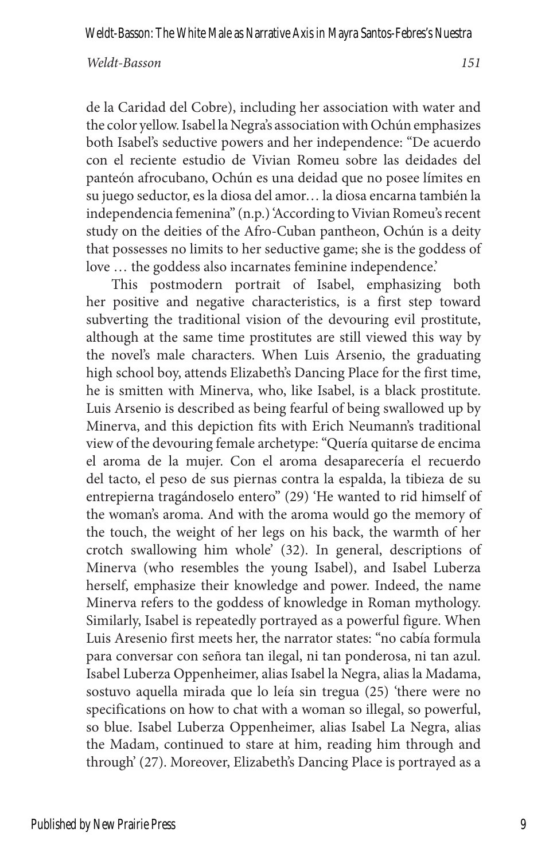de la Caridad del Cobre), including her association with water and the color yellow. Isabel la Negra's association with Ochún emphasizes both Isabel's seductive powers and her independence: "De acuerdo con el reciente estudio de Vivian Romeu sobre las deidades del panteón afrocubano, Ochún es una deidad que no posee límites en su juego seductor, es la diosa del amor… la diosa encarna también la independencia femenina" (n.p.) 'According to Vivian Romeu's recent study on the deities of the Afro-Cuban pantheon, Ochún is a deity that possesses no limits to her seductive game; she is the goddess of love ... the goddess also incarnates feminine independence.'

This postmodern portrait of Isabel, emphasizing both her positive and negative characteristics, is a first step toward subverting the traditional vision of the devouring evil prostitute, although at the same time prostitutes are still viewed this way by the novel's male characters. When Luis Arsenio, the graduating high school boy, attends Elizabeth's Dancing Place for the first time, he is smitten with Minerva, who, like Isabel, is a black prostitute. Luis Arsenio is described as being fearful of being swallowed up by Minerva, and this depiction fits with Erich Neumann's traditional view of the devouring female archetype: "Quería quitarse de encima el aroma de la mujer. Con el aroma desaparecería el recuerdo del tacto, el peso de sus piernas contra la espalda, la tibieza de su entrepierna tragándoselo entero" (29) 'He wanted to rid himself of the woman's aroma. And with the aroma would go the memory of the touch, the weight of her legs on his back, the warmth of her crotch swallowing him whole' (32). In general, descriptions of Minerva (who resembles the young Isabel), and Isabel Luberza herself, emphasize their knowledge and power. Indeed, the name Minerva refers to the goddess of knowledge in Roman mythology. Similarly, Isabel is repeatedly portrayed as a powerful figure. When Luis Aresenio first meets her, the narrator states: "no cabía formula para conversar con señora tan ilegal, ni tan ponderosa, ni tan azul. Isabel Luberza Oppenheimer, alias Isabel la Negra, alias la Madama, sostuvo aquella mirada que lo leía sin tregua (25) 'there were no specifications on how to chat with a woman so illegal, so powerful, so blue. Isabel Luberza Oppenheimer, alias Isabel La Negra, alias the Madam, continued to stare at him, reading him through and through' (27). Moreover, Elizabeth's Dancing Place is portrayed as a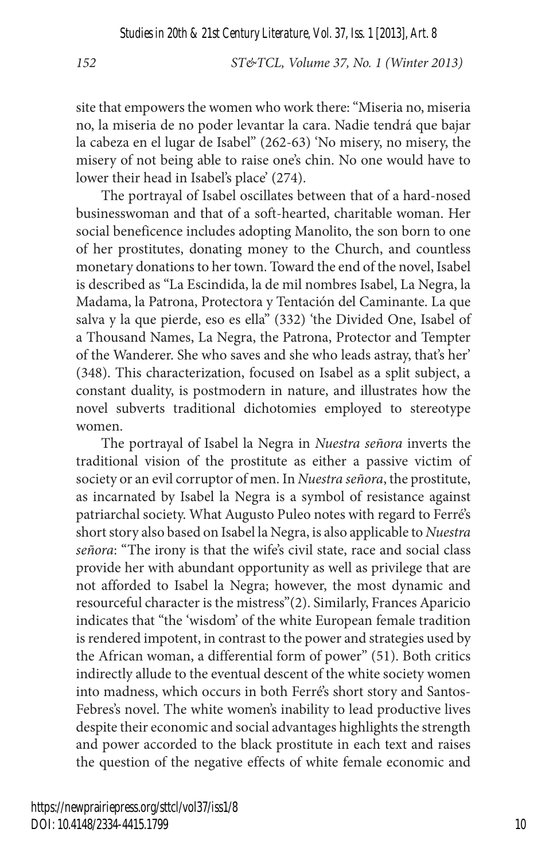site that empowers the women who work there: "Miseria no, miseria no, la miseria de no poder levantar la cara. Nadie tendrá que bajar la cabeza en el lugar de Isabel" (262-63) 'No misery, no misery, the misery of not being able to raise one's chin. No one would have to lower their head in Isabel's place' (274).

The portrayal of Isabel oscillates between that of a hard-nosed businesswoman and that of a soft-hearted, charitable woman. Her social beneficence includes adopting Manolito, the son born to one of her prostitutes, donating money to the Church, and countless monetary donations to her town. Toward the end of the novel, Isabel is described as "La Escindida, la de mil nombres Isabel, La Negra, la Madama, la Patrona, Protectora y Tentación del Caminante. La que salva y la que pierde, eso es ella" (332) 'the Divided One, Isabel of a Thousand Names, La Negra, the Patrona, Protector and Tempter of the Wanderer. She who saves and she who leads astray, that's her' (348). This characterization, focused on Isabel as a split subject, a constant duality, is postmodern in nature, and illustrates how the novel subverts traditional dichotomies employed to stereotype women.

The portrayal of Isabel la Negra in *Nuestra señora* inverts the traditional vision of the prostitute as either a passive victim of society or an evil corruptor of men. In *Nuestra señora*, the prostitute, as incarnated by Isabel la Negra is a symbol of resistance against patriarchal society. What Augusto Puleo notes with regard to Ferré's short story also based on Isabel la Negra, is also applicable to *Nuestra señora*: "The irony is that the wife's civil state, race and social class provide her with abundant opportunity as well as privilege that are not afforded to Isabel la Negra; however, the most dynamic and resourceful character is the mistress"(2). Similarly, Frances Aparicio indicates that "the 'wisdom' of the white European female tradition is rendered impotent, in contrast to the power and strategies used by the African woman, a differential form of power" (51). Both critics indirectly allude to the eventual descent of the white society women into madness, which occurs in both Ferré's short story and Santos-Febres's novel. The white women's inability to lead productive lives despite their economic and social advantages highlights the strength and power accorded to the black prostitute in each text and raises the question of the negative effects of white female economic and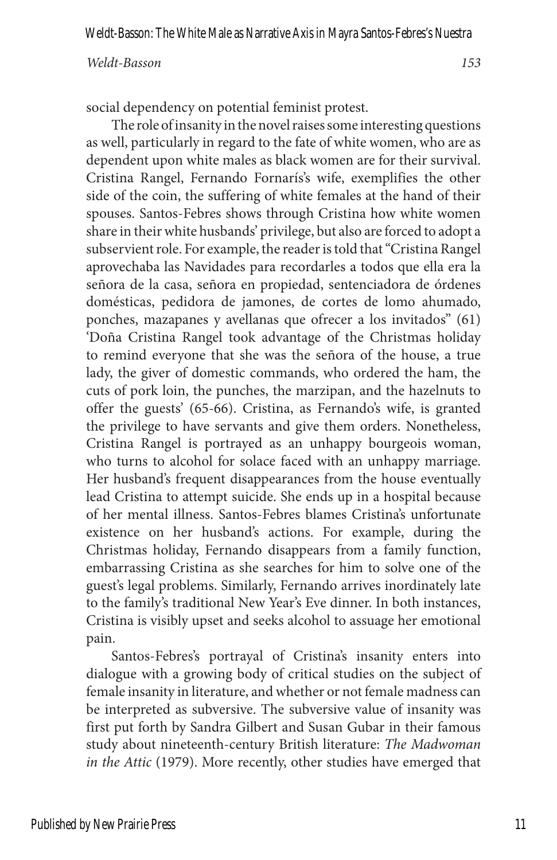social dependency on potential feminist protest.

The role of insanity in the novel raises some interesting questions as well, particularly in regard to the fate of white women, who are as dependent upon white males as black women are for their survival. Cristina Rangel, Fernando Fornarís's wife, exemplifies the other side of the coin, the suffering of white females at the hand of their spouses. Santos-Febres shows through Cristina how white women share in their white husbands' privilege, but also are forced to adopt a subservient role. For example, the reader is told that "Cristina Rangel aprovechaba las Navidades para recordarles a todos que ella era la señora de la casa, señora en propiedad, sentenciadora de órdenes domésticas, pedidora de jamones, de cortes de lomo ahumado, ponches, mazapanes y avellanas que ofrecer a los invitados" (61) 'Doña Cristina Rangel took advantage of the Christmas holiday to remind everyone that she was the señora of the house, a true lady, the giver of domestic commands, who ordered the ham, the cuts of pork loin, the punches, the marzipan, and the hazelnuts to offer the guests' (65-66). Cristina, as Fernando's wife, is granted the privilege to have servants and give them orders. Nonetheless, Cristina Rangel is portrayed as an unhappy bourgeois woman, who turns to alcohol for solace faced with an unhappy marriage. Her husband's frequent disappearances from the house eventually lead Cristina to attempt suicide. She ends up in a hospital because of her mental illness. Santos-Febres blames Cristina's unfortunate existence on her husband's actions. For example, during the Christmas holiday, Fernando disappears from a family function, embarrassing Cristina as she searches for him to solve one of the guest's legal problems. Similarly, Fernando arrives inordinately late to the family's traditional New Year's Eve dinner. In both instances, Cristina is visibly upset and seeks alcohol to assuage her emotional pain.

Santos-Febres's portrayal of Cristina's insanity enters into dialogue with a growing body of critical studies on the subject of female insanity in literature, and whether or not female madness can be interpreted as subversive. The subversive value of insanity was first put forth by Sandra Gilbert and Susan Gubar in their famous study about nineteenth-century British literature: *The Madwoman in the Attic* (1979). More recently, other studies have emerged that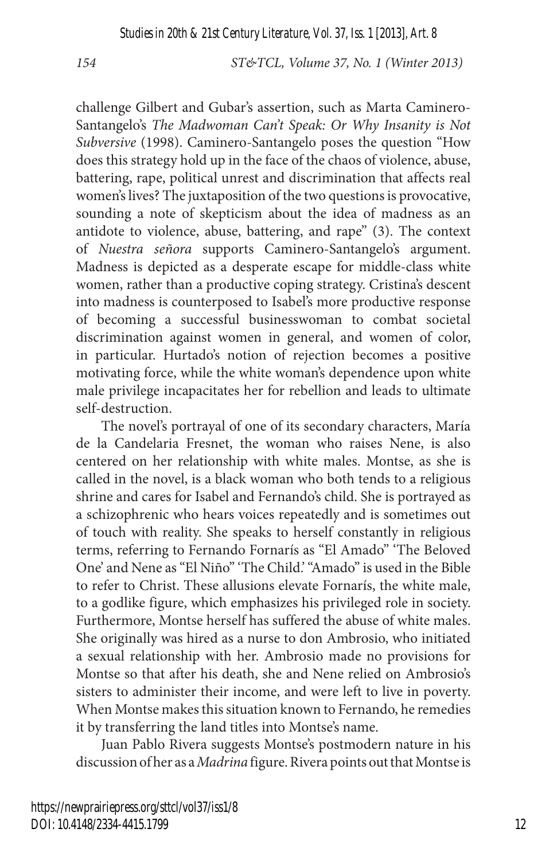challenge Gilbert and Gubar's assertion, such as Marta Caminero-Santangelo's *The Madwoman Can't Speak: Or Why Insanity is Not Subversive* (1998). Caminero-Santangelo poses the question "How does this strategy hold up in the face of the chaos of violence, abuse, battering, rape, political unrest and discrimination that affects real women's lives? The juxtaposition of the two questions is provocative, sounding a note of skepticism about the idea of madness as an antidote to violence, abuse, battering, and rape" (3). The context of *Nuestra señora* supports Caminero-Santangelo's argument. Madness is depicted as a desperate escape for middle-class white women, rather than a productive coping strategy. Cristina's descent into madness is counterposed to Isabel's more productive response of becoming a successful businesswoman to combat societal discrimination against women in general, and women of color, in particular. Hurtado's notion of rejection becomes a positive motivating force, while the white woman's dependence upon white male privilege incapacitates her for rebellion and leads to ultimate self-destruction.

The novel's portrayal of one of its secondary characters, María de la Candelaria Fresnet, the woman who raises Nene, is also centered on her relationship with white males. Montse, as she is called in the novel, is a black woman who both tends to a religious shrine and cares for Isabel and Fernando's child. She is portrayed as a schizophrenic who hears voices repeatedly and is sometimes out of touch with reality. She speaks to herself constantly in religious terms, referring to Fernando Fornarís as "El Amado" 'The Beloved One' and Nene as "El Niño" 'The Child.' "Amado" is used in the Bible to refer to Christ. These allusions elevate Fornarís, the white male, to a godlike figure, which emphasizes his privileged role in society. Furthermore, Montse herself has suffered the abuse of white males. She originally was hired as a nurse to don Ambrosio, who initiated a sexual relationship with her. Ambrosio made no provisions for Montse so that after his death, she and Nene relied on Ambrosio's sisters to administer their income, and were left to live in poverty. When Montse makes this situation known to Fernando, he remedies it by transferring the land titles into Montse's name.

Juan Pablo Rivera suggests Montse's postmodern nature in his discussion of her as a *Madrina* figure. Rivera points out that Montse is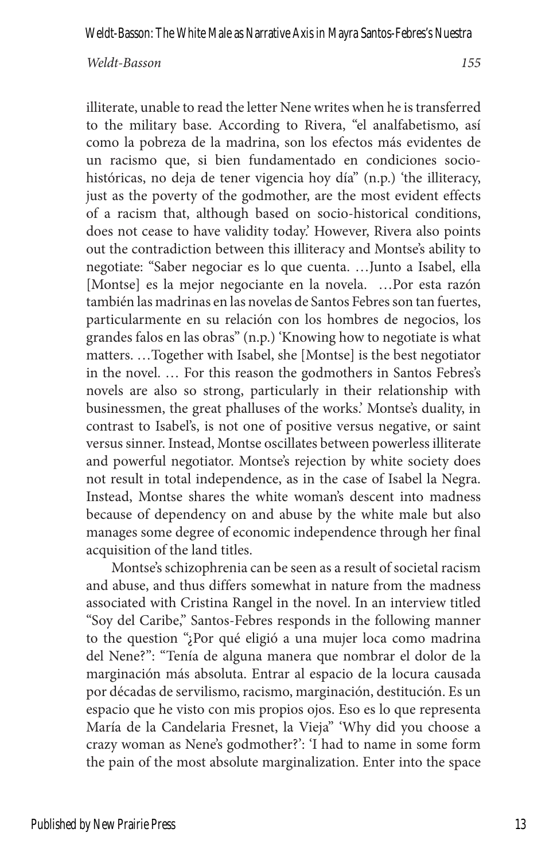illiterate, unable to read the letter Nene writes when he is transferred to the military base. According to Rivera, "el analfabetismo, así como la pobreza de la madrina, son los efectos más evidentes de un racismo que, si bien fundamentado en condiciones sociohistóricas, no deja de tener vigencia hoy día" (n.p.) 'the illiteracy, just as the poverty of the godmother, are the most evident effects of a racism that, although based on socio-historical conditions, does not cease to have validity today.' However, Rivera also points out the contradiction between this illiteracy and Montse's ability to negotiate: "Saber negociar es lo que cuenta. …Junto a Isabel, ella [Montse] es la mejor negociante en la novela. …Por esta razón también las madrinas en las novelas de Santos Febres son tan fuertes, particularmente en su relación con los hombres de negocios, los grandes falos en las obras" (n.p.) 'Knowing how to negotiate is what matters. …Together with Isabel, she [Montse] is the best negotiator in the novel. … For this reason the godmothers in Santos Febres's novels are also so strong, particularly in their relationship with businessmen, the great phalluses of the works.' Montse's duality, in contrast to Isabel's, is not one of positive versus negative, or saint versus sinner. Instead, Montse oscillates between powerless illiterate and powerful negotiator. Montse's rejection by white society does not result in total independence, as in the case of Isabel la Negra. Instead, Montse shares the white woman's descent into madness because of dependency on and abuse by the white male but also manages some degree of economic independence through her final acquisition of the land titles.

Montse's schizophrenia can be seen as a result of societal racism and abuse, and thus differs somewhat in nature from the madness associated with Cristina Rangel in the novel. In an interview titled "Soy del Caribe," Santos-Febres responds in the following manner to the question "¿Por qué eligió a una mujer loca como madrina del Nene?": "Tenía de alguna manera que nombrar el dolor de la marginación más absoluta. Entrar al espacio de la locura causada por décadas de servilismo, racismo, marginación, destitución. Es un espacio que he visto con mis propios ojos. Eso es lo que representa María de la Candelaria Fresnet, la Vieja" 'Why did you choose a crazy woman as Nene's godmother?': 'I had to name in some form the pain of the most absolute marginalization. Enter into the space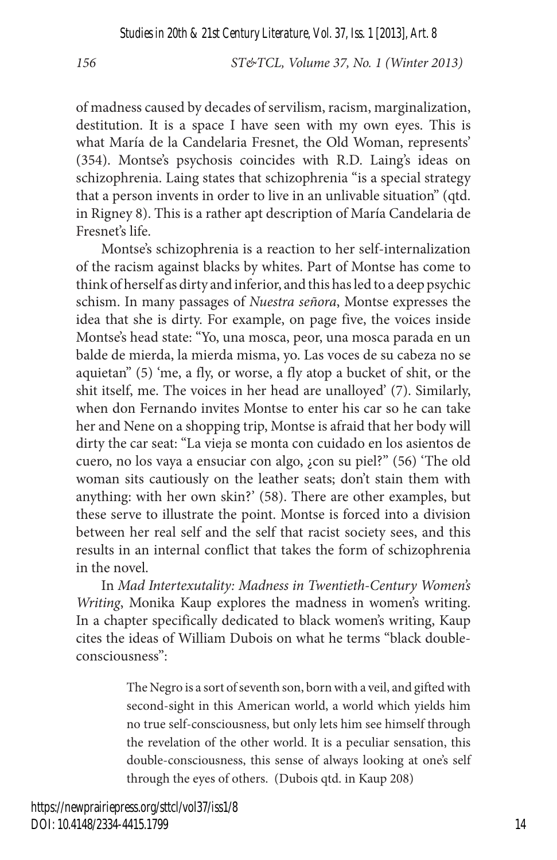of madness caused by decades of servilism, racism, marginalization, destitution. It is a space I have seen with my own eyes. This is what María de la Candelaria Fresnet, the Old Woman, represents' (354). Montse's psychosis coincides with R.D. Laing's ideas on schizophrenia. Laing states that schizophrenia "is a special strategy that a person invents in order to live in an unlivable situation" (qtd. in Rigney 8). This is a rather apt description of María Candelaria de Fresnet's life.

Montse's schizophrenia is a reaction to her self-internalization of the racism against blacks by whites. Part of Montse has come to think of herself as dirty and inferior, and this has led to a deep psychic schism. In many passages of *Nuestra señora*, Montse expresses the idea that she is dirty. For example, on page five, the voices inside Montse's head state: "Yo, una mosca, peor, una mosca parada en un balde de mierda, la mierda misma, yo. Las voces de su cabeza no se aquietan" (5) 'me, a fly, or worse, a fly atop a bucket of shit, or the shit itself, me. The voices in her head are unalloyed' (7). Similarly, when don Fernando invites Montse to enter his car so he can take her and Nene on a shopping trip, Montse is afraid that her body will dirty the car seat: "La vieja se monta con cuidado en los asientos de cuero, no los vaya a ensuciar con algo, ¿con su piel?" (56) 'The old woman sits cautiously on the leather seats; don't stain them with anything: with her own skin?' (58). There are other examples, but these serve to illustrate the point. Montse is forced into a division between her real self and the self that racist society sees, and this results in an internal conflict that takes the form of schizophrenia in the novel.

In *Mad Intertexutality: Madness in Twentieth-Century Women's Writing*, Monika Kaup explores the madness in women's writing. In a chapter specifically dedicated to black women's writing, Kaup cites the ideas of William Dubois on what he terms "black doubleconsciousness":

> The Negro is a sort of seventh son, born with a veil, and gifted with second-sight in this American world, a world which yields him no true self-consciousness, but only lets him see himself through the revelation of the other world. It is a peculiar sensation, this double-consciousness, this sense of always looking at one's self through the eyes of others. (Dubois qtd. in Kaup 208)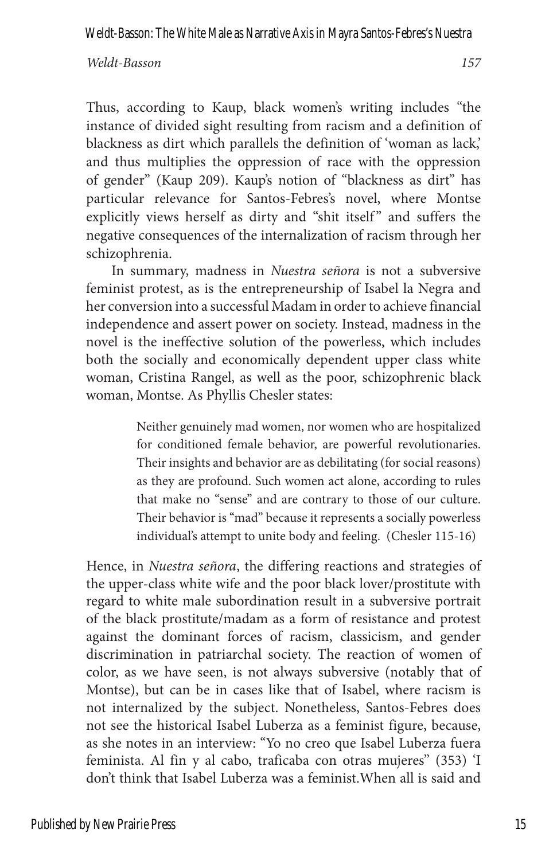Weldt-Basson: The White Male as Narrative Axis in Mayra Santos-Febres's Nuestra

*Weldt-Basson 157*

Thus, according to Kaup, black women's writing includes "the instance of divided sight resulting from racism and a definition of blackness as dirt which parallels the definition of 'woman as lack,' and thus multiplies the oppression of race with the oppression of gender" (Kaup 209). Kaup's notion of "blackness as dirt" has particular relevance for Santos-Febres's novel, where Montse explicitly views herself as dirty and "shit itself" and suffers the negative consequences of the internalization of racism through her schizophrenia.

In summary, madness in *Nuestra señora* is not a subversive feminist protest, as is the entrepreneurship of Isabel la Negra and her conversion into a successful Madam in order to achieve financial independence and assert power on society. Instead, madness in the novel is the ineffective solution of the powerless, which includes both the socially and economically dependent upper class white woman, Cristina Rangel, as well as the poor, schizophrenic black woman, Montse. As Phyllis Chesler states:

> Neither genuinely mad women, nor women who are hospitalized for conditioned female behavior, are powerful revolutionaries. Their insights and behavior are as debilitating (for social reasons) as they are profound. Such women act alone, according to rules that make no "sense" and are contrary to those of our culture. Their behavior is "mad" because it represents a socially powerless individual's attempt to unite body and feeling. (Chesler 115-16)

Hence, in *Nuestra señora*, the differing reactions and strategies of the upper-class white wife and the poor black lover/prostitute with regard to white male subordination result in a subversive portrait of the black prostitute/madam as a form of resistance and protest against the dominant forces of racism, classicism, and gender discrimination in patriarchal society. The reaction of women of color, as we have seen, is not always subversive (notably that of Montse), but can be in cases like that of Isabel, where racism is not internalized by the subject. Nonetheless, Santos-Febres does not see the historical Isabel Luberza as a feminist figure, because, as she notes in an interview: "Yo no creo que Isabel Luberza fuera feminista. Al fin y al cabo, traficaba con otras mujeres" (353) 'I don't think that Isabel Luberza was a feminist.When all is said and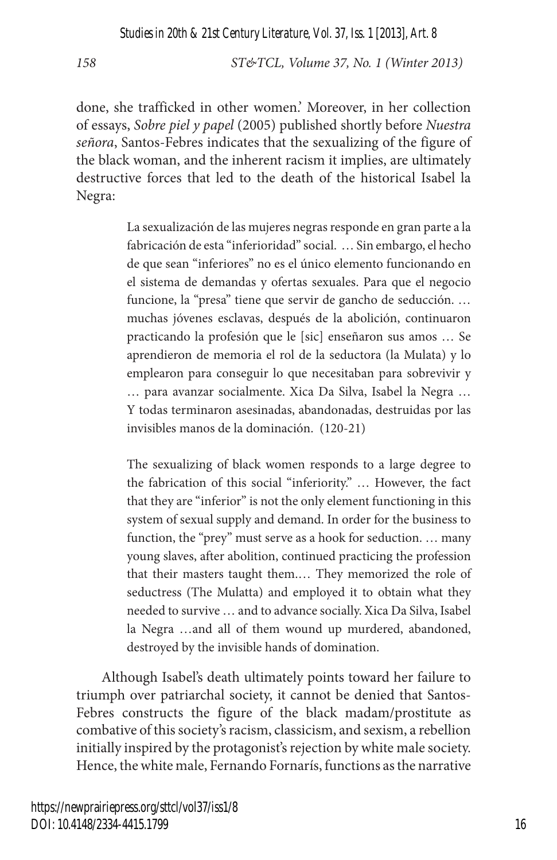*Studies in 20th & 21st Century Literature, Vol. 37, Iss. 1 [2013], Art. 8*

*158 ST&TCL, Volume 37, No. 1 (Winter 2013)*

done, she trafficked in other women.' Moreover, in her collection of essays, *Sobre piel y papel* (2005) published shortly before *Nuestra señora*, Santos-Febres indicates that the sexualizing of the figure of the black woman, and the inherent racism it implies, are ultimately destructive forces that led to the death of the historical Isabel la Negra:

> La sexualización de las mujeres negras responde en gran parte a la fabricación de esta "inferioridad" social. … Sin embargo, el hecho de que sean "inferiores" no es el único elemento funcionando en el sistema de demandas y ofertas sexuales. Para que el negocio funcione, la "presa" tiene que servir de gancho de seducción. … muchas jóvenes esclavas, después de la abolición, continuaron practicando la profesión que le [sic] enseñaron sus amos … Se aprendieron de memoria el rol de la seductora (la Mulata) y lo emplearon para conseguir lo que necesitaban para sobrevivir y … para avanzar socialmente. Xica Da Silva, Isabel la Negra … Y todas terminaron asesinadas, abandonadas, destruidas por las invisibles manos de la dominación. (120-21)

> The sexualizing of black women responds to a large degree to the fabrication of this social "inferiority." … However, the fact that they are "inferior" is not the only element functioning in this system of sexual supply and demand. In order for the business to function, the "prey" must serve as a hook for seduction. … many young slaves, after abolition, continued practicing the profession that their masters taught them.… They memorized the role of seductress (The Mulatta) and employed it to obtain what they needed to survive … and to advance socially. Xica Da Silva, Isabel la Negra …and all of them wound up murdered, abandoned, destroyed by the invisible hands of domination.

Although Isabel's death ultimately points toward her failure to triumph over patriarchal society, it cannot be denied that Santos-Febres constructs the figure of the black madam/prostitute as combative of this society's racism, classicism, and sexism, a rebellion initially inspired by the protagonist's rejection by white male society. Hence, the white male, Fernando Fornarís, functions as the narrative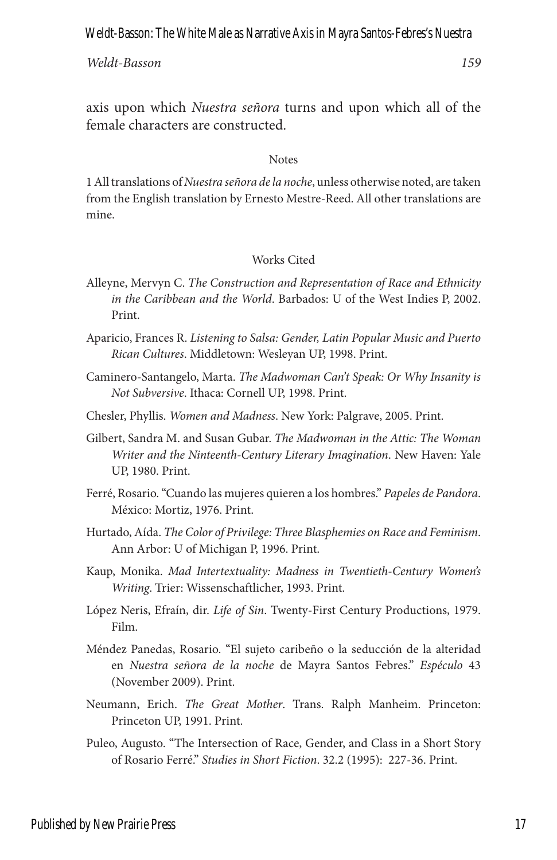Weldt-Basson: The White Male as Narrative Axis in Mayra Santos-Febres's Nuestra

*Weldt-Basson 159*

axis upon which *Nuestra señora* turns and upon which all of the female characters are constructed.

#### **Notes**

1 All translations of *Nuestra señora de la noche*, unless otherwise noted, are taken from the English translation by Ernesto Mestre-Reed. All other translations are mine.

### Works Cited

- Alleyne, Mervyn C. *The Construction and Representation of Race and Ethnicity in the Caribbean and the World*. Barbados: U of the West Indies P, 2002. Print.
- Aparicio, Frances R. *Listening to Salsa: Gender, Latin Popular Music and Puerto Rican Cultures*. Middletown: Wesleyan UP, 1998. Print.
- Caminero-Santangelo, Marta. *The Madwoman Can't Speak: Or Why Insanity is Not Subversive*. Ithaca: Cornell UP, 1998. Print.
- Chesler, Phyllis. *Women and Madness*. New York: Palgrave, 2005. Print.
- Gilbert, Sandra M. and Susan Gubar. *The Madwoman in the Attic: The Woman Writer and the Ninteenth-Century Literary Imagination*. New Haven: Yale UP, 1980. Print.
- Ferré, Rosario. "Cuando las mujeres quieren a los hombres." *Papeles de Pandora*. México: Mortiz, 1976. Print.
- Hurtado, Aída. *The Color of Privilege: Three Blasphemies on Race and Feminism*. Ann Arbor: U of Michigan P, 1996. Print.
- Kaup, Monika. *Mad Intertextuality: Madness in Twentieth-Century Women's Writing*. Trier: Wissenschaftlicher, 1993. Print.
- López Neris, Efraín, dir. *Life of Sin*. Twenty-First Century Productions, 1979. Film.
- Méndez Panedas, Rosario. "El sujeto caribeño o la seducción de la alteridad en *Nuestra señora de la noche* de Mayra Santos Febres." *Espéculo* 43 (November 2009). Print.
- Neumann, Erich. *The Great Mother*. Trans. Ralph Manheim. Princeton: Princeton UP, 1991. Print.
- Puleo, Augusto. "The Intersection of Race, Gender, and Class in a Short Story of Rosario Ferré." *Studies in Short Fiction*. 32.2 (1995): 227-36. Print.